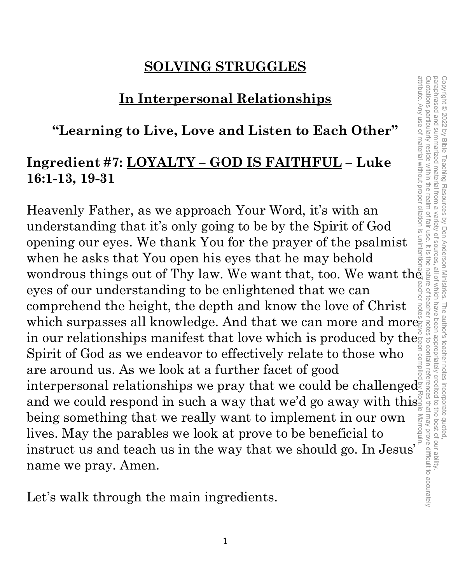# **SOLVING STRUGGLES**

#### **In Interpersonal Relationships**

#### **"Learning to Live, Love and Listen to Each Other"**

#### **Ingredient #7: LOYALTY – GOD IS FAITHFUL – Luke 16:1-13, 19-31**

Heavenly Father, as we approach Your Word, it's with an understanding that it's only going to be by the Spirit of God opening our eyes. We thank You for the prayer of the psalmist when he asks that You open his eyes that he may behold wondrous things out of Thy law. We want that, too. We want the eyes of our understanding to be enlightened that we can comprehend the height, the depth and know the love of Christ which surpasses all knowledge. And that we can more and more  $\stackrel{\circ}{_\sim}$ in our relationships manifest that love which is produced by the Spirit of God as we endeavor to effectively relate to those who are around us. As we look at a further facet of good interpersonal relationships we pray that we could be challenged $\bar{\S}$ and we could respond in such a way that we'd go away with this being something that we really want to implement in our own lives. May the parables we look at prove to be beneficial to being something that we really want to implement in our own<br>lives. May the parables we look at prove to be beneficial to<br>instruct us and teach us in the way that we should go. In Jesus' name we pray. Amen. attribute. Any use of material without proper citation is unintentional. Teacher notes have been compiled by Ronnie Marroquin.

Let's walk through the main ingredients.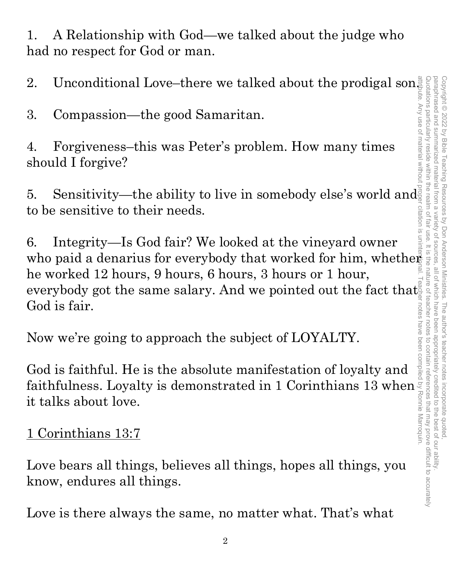1. A Relationship with God—we talked about the judge who had no respect for God or man.

2. Unconditional Love–there we talked about the prodigal son $\frac{3}{5}$ 

3. Compassion—the good Samaritan.

4. Forgiveness–this was Peter's problem. How many times should I forgive?

5. Sensitivity—the ability to live in somebody else's world and to be sensitive to their needs.

6. Integrity—Is God fair? We looked at the vineyard owner who paid a denarius for everybody that worked for him, whether he worked 12 hours, 9 hours, 6 hours, 3 hours or 1 hour, everybody got the same salary. And we pointed out the fact that God is fair.

Now we're going to approach the subject of LOYALTY.

God is faithful. He is the absolute manifestation of loyalty and faithfulness. Loyalty is demonstrated in 1 Corinthians 13 when it talks about love.

1 Corinthians 13:7

Love bears all things, believes all things, hopes all things, you know, endures all things.

Love is there always the same, no matter what. That's what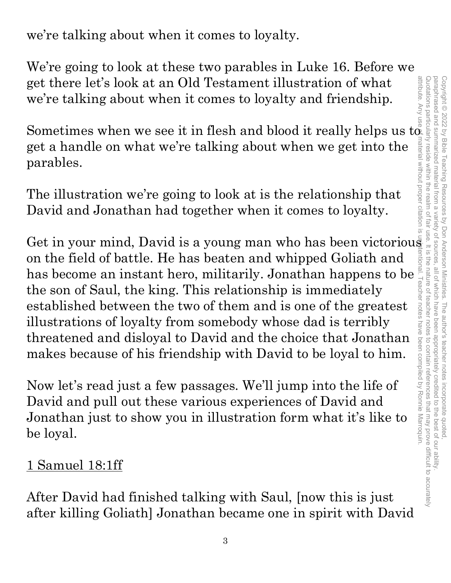we're talking about when it comes to loyalty.

We're going to look at these two parables in Luke 16. Before we get there let's look at an Old Testament illustration of what we're talking about when it comes to loyalty and friendship.

Sometimes when we see it in flesh and blood it really helps us  $t\alpha$ get a handle on what we're talking about when we get into the parables.

The illustration we're going to look at is the relationship that David and Jonathan had together when it comes to loyalty.

Get in your mind, David is a young man who has been victorious on the field of battle. He has beaten and whipped Goliath and has become an instant hero, militarily. Jonathan happens to be the son of Saul, the king. This relationship is immediately established between the two of them and is one of the greatest illustrations of loyalty from somebody whose dad is terribly threatened and disloyal to David and the choice that Jonathan makes because of his friendship with David to be loyal to him.

Now let's read just a few passages. We'll jump into the life of David and pull out these various experiences of David and Jonathan just to show you in illustration form what it's like to be loyal.

#### 1 Samuel 18:1ff

After David had finished talking with Saul, [now this is just after killing Goliath] Jonathan became one in spirit with David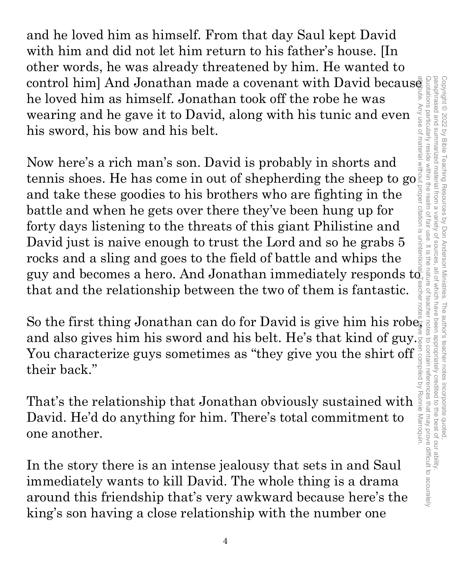and he loved him as himself. From that day Saul kept David with him and did not let him return to his father's house. [In other words, he was already threatened by him. He wanted to control him] And Jonathan made a covenant with David becaus $\tilde{\bar{\mathbf{e}}}$ he loved him as himself. Jonathan took off the robe he was wearing and he gave it to David, along with his tunic and even his sword, his bow and his belt.

Now here's a rich man's son. David is probably in shorts and tennis shoes. He has come in out of shepherding the sheep to go and take these goodies to his brothers who are fighting in the battle and when he gets over there they've been hung up for forty days listening to the threats of this giant Philistine and David just is naive enough to trust the Lord and so he grabs 5 rocks and a sling and goes to the field of battle and whips the guy and becomes a hero. And Jonathan immediately responds  $\mathrm{t}\tilde{\sigma_{\shortparallel}}$ that and the relationship between the two of them is fantastic.

So the first thing Jonathan can do for David is give him his robe, and also gives him his sword and his belt. He's that kind of guy. You characterize guys sometimes as "they give you the shirt off their back."

That's the relationship that Jonathan obviously sustained with David. He'd do anything for him. There's total commitment to one another.

In the story there is an intense jealousy that sets in and Saul immediately wants to kill David. The whole thing is a drama around this friendship that's very awkward because here's the king's son having a close relationship with the number one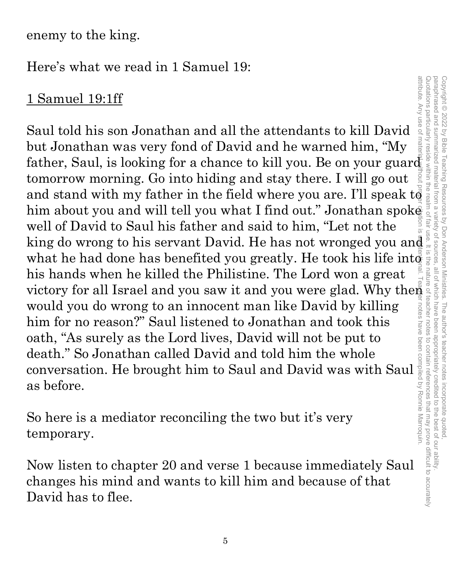enemy to the king.

Here's what we read in 1 Samuel 19:

#### 1 Samuel 19:1ff

Saul told his son Jonathan and all the attendants to kill David but Jonathan was very fond of David and he warned him, "My 1 Samuel 19:1ff<br>
Saul told his son Jonathan and all the attendants to kill David<br>
but Jonathan was very fond of David and he warned him, "My<br>
father, Saul, is looking for a chance to kill you. Be on your guard<br>
tomorrow m tomorrow morning. Go into hiding and stay there. I will go out and stand with my father in the field where you are. I'll speak  $t\bar{\vec{\theta}}$ him about you and will tell you what I find out." Jonathan spoke well of David to Saul his father and said to him, "Let not the king do wrong to his servant David. He has not wronged you and what he had done has benefited you greatly. He took his life int $\mathbb{d}$ his hands when he killed the Philistine. The Lord won a great his hands when he killed the Philistine. The Lord won a great victory for all Israel and you saw it and you were glad. Why then would you do wrong to an innocent man like David by killing him for no reason?" Saul listened would you do wrong to an innocent man like David by killing him for no reason?" Saul listened to Jonathan and took this oath, "As surely as the Lord lives, David will not be put to death." So Jonathan called David and told him the whole would you do wrong to an innocent man like David by killing<br>him for no reason?" Saul listened to Jonathan and took this<br>oath, "As surely as the Lord lives, David will not be put to<br>death." So Jonathan called David and tol as before.

So here is a mediator reconciling the two but it's very temporary.

Now listen to chapter 20 and verse 1 because immediately Saul changes his mind and wants to kill him and because of that David has to flee.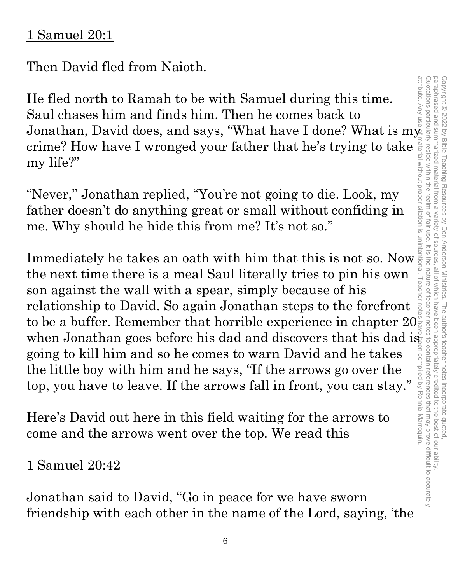#### 1 Samuel 20:1

Then David fled from Naioth.

He fled north to Ramah to be with Samuel during this time. Saul chases him and finds him. Then he comes back to Jonathan, David does, and says, "What have I done? What is m $\mathsf{y}_\mathbb{R}^{\mathbb{Z}}$ my life?" attribute. Any use of material without proper citation is unintentional. Teacher notes have been compiled by Ronnie Marroquin.

crime? How have I wronged your father that he's trying to take  $\frac{1}{2}$  my life?"<br>
"Never," Jonathan replied, "You're not going to die. Look, my<br>
father doesn't do anything great or small without confiding in<br>
me. Why sh "Never," Jonathan replied, "You're not going to die. Look, my father doesn't do anything great or small without confiding in me. Why should he hide this from me? It's not so."

Immediately he takes an oath with him that this is not so. Now the next time there is a meal Saul literally tries to pin his own son against the wall with a spear, simply because of his relationship to David. So again Jonathan steps to the forefront to be a buffer. Remember that horrible experience in chapter  $20\frac{9}{5}$ when Jonathan goes before his dad and discovers that his dad is going to kill him and so he comes to warn David and he takes the little boy with him and he says, "If the arrows go over the top, you have to leave. If the arrows fall in front, you can stay."

Here's David out here in this field waiting for the arrows to come and the arrows went over the top. We read this

#### 1 Samuel 20:42

Jonathan said to David, "Go in peace for we have sworn friendship with each other in the name of the Lord, saying, 'the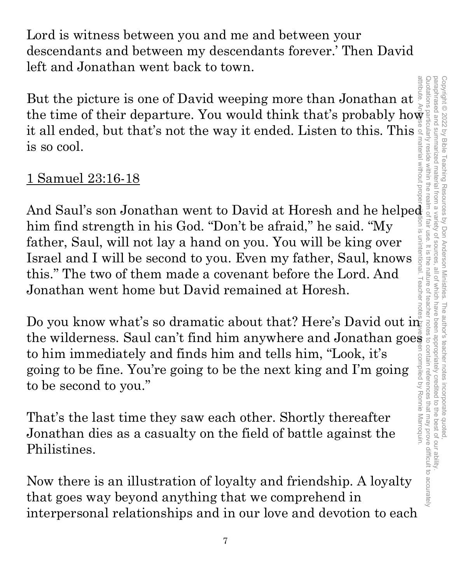Lord is witness between you and me and between your descendants and between my descendants forever.' Then David left and Jonathan went back to town.

But the picture is one of David weeping more than Jonathan at  $\frac{3}{5}$ it all ended, but that's not the way it ended. Listen to this. This is so cool.

#### 1 Samuel 23:16-18

But the picture is one of David weeping more than Jonathan at<br>the time of their departure. You would think that's probably how<br>it all ended, but that's not the way it ended. Listen to this. This<br>is so cool.<br>
1 Samuel 23:1 And Saul's son Jonathan went to David at Horesh and he helped him find strength in his God. "Don't be afraid," he said. "My father, Saul, will not lay a hand on you. You will be king over Israel and I will be second to you. Even my father, Saul, knows this." The two of them made a covenant before the Lord. And Jonathan went home but David remained at Horesh.

Do you know what's so dramatic about that? Here's David out in the wilderness. Saul can't find him anywhere and Jonathan goes<br>to him immediately and finds him and tells him, "Look, it's<br>going to be fine. You're going to be the next king and I'm going<br>to be second to you."<br>That's the to him immediately and finds him and tells him, "Look, it's going to be fine. You're going to be the next king and I'm going to be second to you."

That's the last time they saw each other. Shortly thereafter Jonathan dies as a casualty on the field of battle against the Philistines.

Now there is an illustration of loyalty and friendship. A loyalty that goes way beyond anything that we comprehend in interpersonal relationships and in our love and devotion to each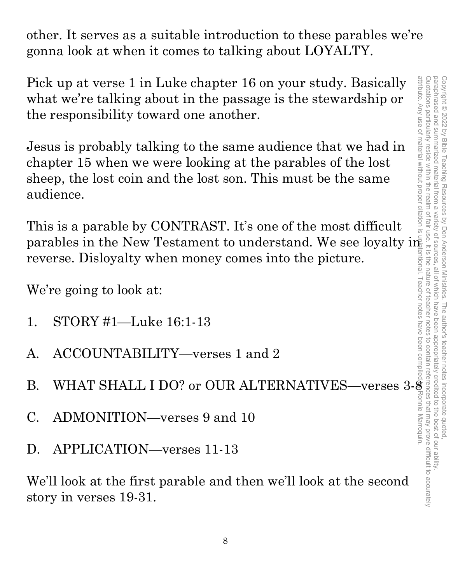other. It serves as a suitable introduction to these parables we're gonna look at when it comes to talking about LOYALTY.

Pick up at verse 1 in Luke chapter 16 on your study. Basically what we're talking about in the passage is the stewardship or the responsibility toward one another.

Jesus is probably talking to the same audience that we had in chapter 15 when we were looking at the parables of the lost sheep, the lost coin and the lost son. This must be the same audience.

This is a parable by CONTRAST. It's one of the most difficult parables in the New Testament to understand. We see loyalty in reverse. Disloyalty when money comes into the picture.

We're going to look at:

- 1. STORY #1—Luke 16:1-13
- A. ACCOUNTABILITY—verses 1 and 2
- B. WHAT SHALL I DO? or OUR ALTERNATIVES—verses 3-8
- C. ADMONITION—verses 9 and 10
- D. APPLICATION—verses 11-13

We'll look at the first parable and then we'll look at the second story in verses 19-31.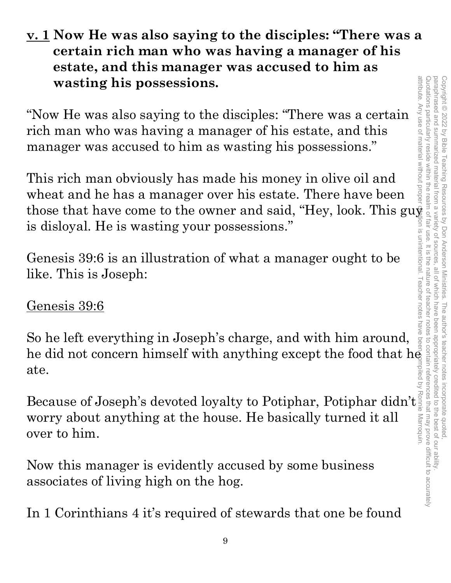#### **v. 1 Now He was also saying to the disciples: "There was a certain rich man who was having a manager of his estate, and this manager was accused to him as wasting his possessions.**

"Now He was also saying to the disciples: "There was a certain rich man who was having a manager of his estate, and this manager was accused to him as wasting his possessions."

This rich man obviously has made his money in olive oil and wheat and he has a manager over his estate. There have been those that have come to the owner and said, "Hey, look. This gu $\frac{1}{2}$ is disloyal. He is wasting your possessions."

Genesis 39:6 is an illustration of what a manager ought to be like. This is Joseph:

#### Genesis 39:6

So he left everything in Joseph's charge, and with him around, he did not concern himself with anything except the food that  $h\bar{e}$ ate.

ate.<br>Because of Joseph's devoted loyalty to Potiphar, Potiphar didn't<br>worry about anything at the house. He basically turned it all<br>over to him. worry about anything at the house. He basically turned it all over to him.

Now this manager is evidently accused by some business associates of living high on the hog.

In 1 Corinthians 4 it's required of stewards that one be found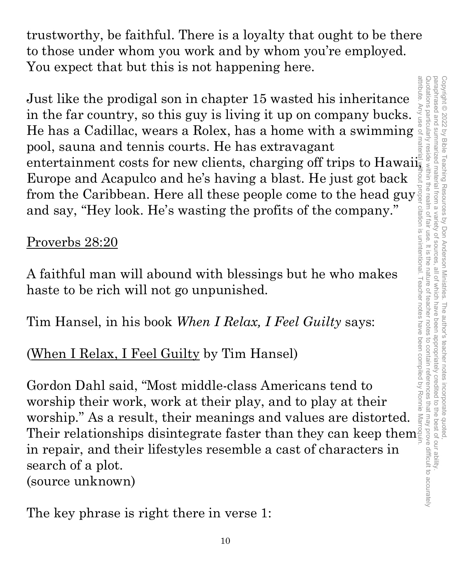trustworthy, be faithful. There is a loyalty that ought to be there to those under whom you work and by whom you're employed. You expect that but this is not happening here.

Just like the prodigal son in chapter 15 wasted his inheritance<br>in the far country, so this guy is living it up on company bucks.<br>He has a Cadillac, wears a Rolex, has a home with a swimming<br>pool, same and tomis courts. H attribute. Any Just like the prodigal son in chapter 15 wasted his inheritance in the far country, so this guy is living it up on company bucks. He has a Cadillac, wears a Rolex, has a home with a swimming pool, sauna and tennis courts. He has extravagant Europe and Acapulco and he's having a blast. He just got back from the Caribbean. Here all these people come to the head guy $\frac{1}{2}$ and say, "Hey look. He's wasting the profits of the company."

#### Proverbs 28:20

A faithful man will abound with blessings but he who makes haste to be rich will not go unpunished.

Tim Hansel, in his book *When I Relax, I Feel Guilty* says:

# (When I Relax, I Feel Guilty by Tim Hansel)

Gordon Dahl said, "Most middle-class Americans tend to worship their work, work at their play, and to play at their worship." As a result, their meanings and values are distorted. Their relationships disintegrate faster than they can keep them in repair, and their lifestyles resemble a cast of characters in search of a plot. (source unknown)

The key phrase is right there in verse 1: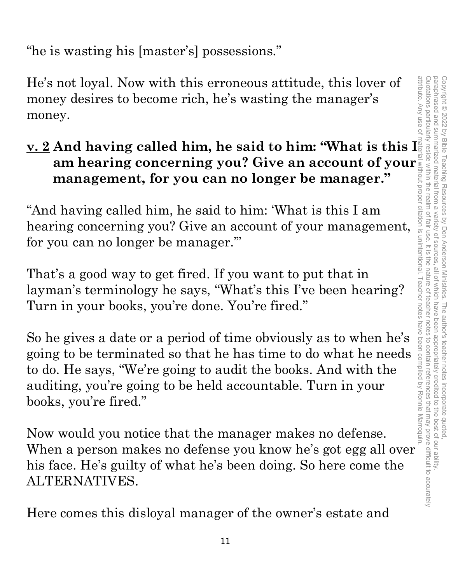"he is wasting his [master's] possessions."

He's not loyal. Now with this erroneous attitude, this lover of money desires to become rich, he's wasting the manager's money.

# **am hearing concerning you? Give an account of your management, for you can no longer be manager."**

"And having called him, he said to him: 'What is this I am hearing concerning you? Give an account of your management, for you can no longer be manager.'"

That's a good way to get fired. If you want to put that in layman's terminology he says, "What's this I've been hearing? Turn in your books, you're done. You're fired."

**v. 2** And having called him, he said to him: "What is this I am hearing concerning you? Give an account of your manager."<br>
"And having called him, he said to him: 'What is this I am hearing concerning you? Give an accoun So he gives a date or a period of time obviously as to when he's going to be terminated so that he has time to do what he needs to do. He says, "We're going to audit the books. And with the auditing, you're going to be held accountable. Turn in your books, you're fired."

Now would you notice that the manager makes no defense. When a person makes no defense you know he's got egg all over his face. He's guilty of what he's been doing. So here come the ALTERNATIVES.

Here comes this disloyal manager of the owner's estate and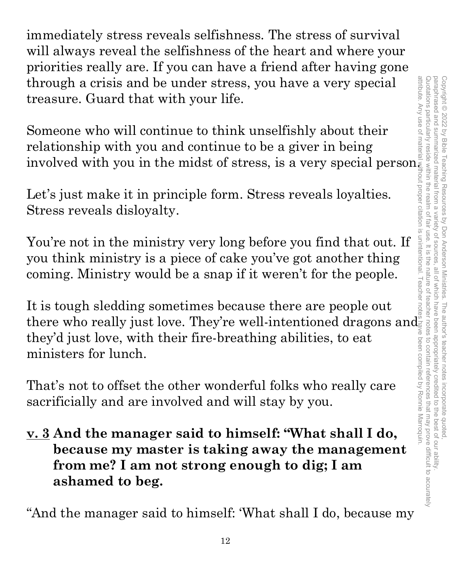immediately stress reveals selfishness. The stress of survival will always reveal the selfishness of the heart and where your priorities really are. If you can have a friend after having gone through a crisis and be under stress, you have a very special treasure. Guard that with your life.

Someone who will continue to think unselfishly about their relationship with you and continue to be a giver in being involved with you in the midst of stress, is a very special person.

Let's just make it in principle form. Stress reveals loyalties. Stress reveals disloyalty.

You're not in the ministry very long before you find that out. If you think ministry is a piece of cake you've got another thing coming. Ministry would be a snap if it weren't for the people.

It is tough sledding sometimes because there are people out there who really just love. They're well-intentioned dragons and  $\mathbb{S}^n$ they'd just love, with their fire-breathing abilities, to eat ministers for lunch.

That's not to offset the other wonderful folks who really care sacrificially and are involved and will stay by you.

**v. 3 And the manager said to himself: "What shall I do, because my master is taking away the management from me? I am not strong enough to dig; I am ashamed to beg.**

"And the manager said to himself: 'What shall I do, because my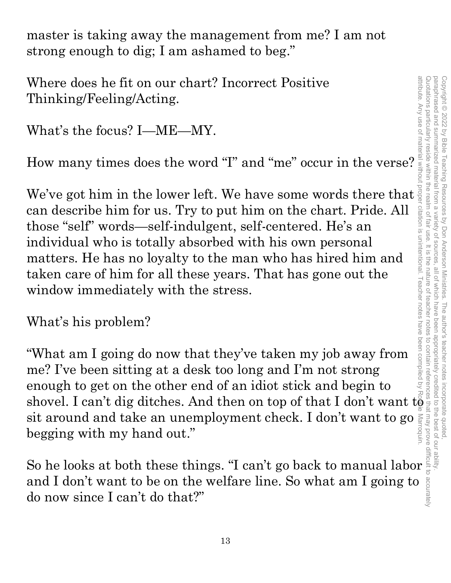master is taking away the management from me? I am not strong enough to dig; I am ashamed to beg."

Where does he fit on our chart? Incorrect Positive Thinking/Feeling/Acting.

What's the focus? I—ME—MY.

How many times does the word "I" and "me" occur in the verse?

We've got him in the lower left. We have some words there that can describe him for us. Try to put him on the chart. Pride. All those "self" words—self-indulgent, self-centered. He's an individual who is totally absorbed with his own personal matters. He has no loyalty to the man who has hired him and taken care of him for all these years. That has gone out the window immediately with the stress.

What's his problem?

"What am I going do now that they've taken my job away from me? I've been sitting at a desk too long and I'm not strong enough to get on the other end of an idiot stick and begin to shovel. I can't dig ditches. And then on top of that I don't want  $t\tilde{\varrho}$ sit around and take an unemployment check. I don't want to go begging with my hand out."

So he looks at both these things. "I can't go back to manual labor and I don't want to be on the welfare line. So what am I going to do now since I can't do that?"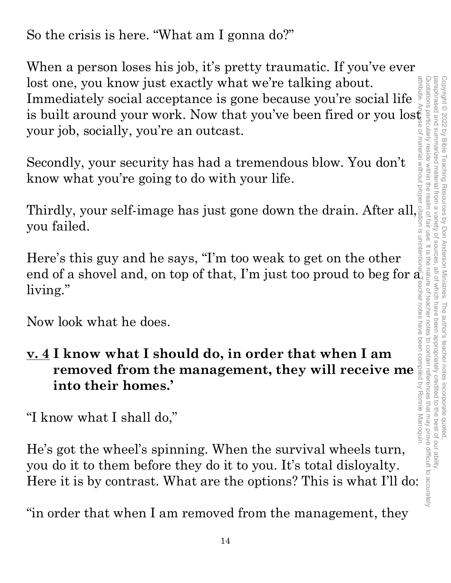So the crisis is here. "What am I gonna do?"

When a person loses his job, it's pretty traumatic. If you've ever lost one, you know just exactly what we're talking about. Immediately social acceptance is gone because you're social life lost one, you know just exactly what we're talking about.<br>
Immediately social acceptance is gone because you're social life is built around your work. Now that you've been fired or you lost space you're is built around you your job, socially, you're an outcast.

Secondly, your security has had a tremendous blow. You don't know what you're going to do with your life.

Thirdly, your self-image has just gone down the drain. After all, you failed.

Here's this guy and he says, "I'm too weak to get on the other end of a shovel and, on top of that, I'm just too proud to beg for  $\frac{1}{\mathbf{d}_1}$ living."

Now look what he does.

**v. 4 I know what I should do, in order that when I am removed from the management, they will receive me into their homes.'**

"I know what I shall do,"

He's got the wheel's spinning. When the survival wheels turn, you do it to them before they do it to you. It's total disloyalty. Here it is by contrast. What are the options? This is what I'll do:

"in order that when I am removed from the management, they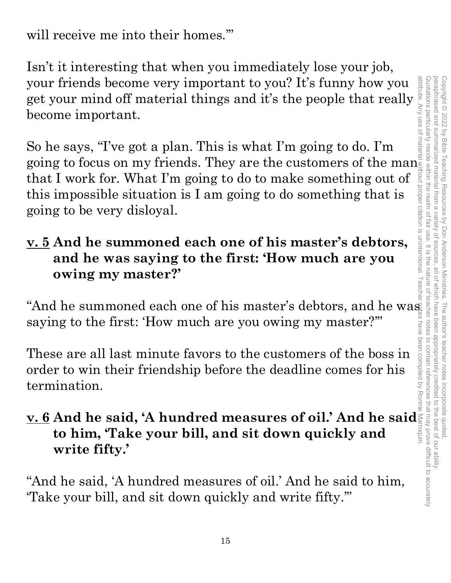will receive me into their homes.'"

Isn't it interesting that when you immediately lose your job, your friends become very important to you? It's funny how you your friends become very important to you? It's funny how you<br>get your mind off material things and it's the people that really<br>become important.<br>So he says, "I've got a plan. This is what I'm going to do. I'm become important.

So he says, "I've got a plan. This is what I'm going to do. I'm going to focus on my friends. They are the customers of the manufather in that I work for. What I'm going to do to make something out of this impossible situation is I am going to do something that is going to be very dis that I work for. What I'm going to do to make something out of this impossible situation is I am going to do something that is going to be very disloyal. attribute. Any use of material without proper citation is unintentional. Teacher notes have been compiled by Ronnie Marroquin.

#### **v. 5 And he summoned each one of his master's debtors, and he was saying to the first: 'How much are you owing my master?'**

"And he summoned each one of his master's debtors, and he was saying to the first: 'How much are you owing my master?'"

These are all last minute favors to the customers of the boss in order to win their friendship before the deadline comes for his termination.

# **v. 6 And he said, 'A hundred measures of oil.' And he said to him, 'Take your bill, and sit down quickly and write fifty.'**

"And he said, 'A hundred measures of oil.' And he said to him, 'Take your bill, and sit down quickly and write fifty.'"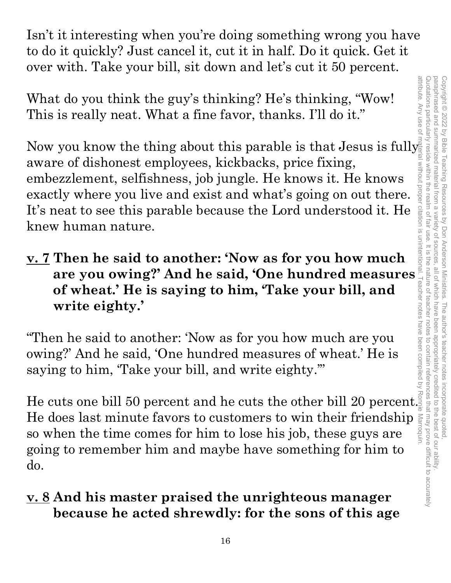Isn't it interesting when you're doing something wrong you have to do it quickly? Just cancel it, cut it in half. Do it quick. Get it over with. Take your bill, sit down and let's cut it 50 percent.

What do you think the guy's thinking? He's thinking, "Wow! This is really neat. What a fine favor, thanks. I'll do it."

Now you know the thing about this parable is that Jesus is fully aware of dishonest employees, kickbacks, price fixing, embezzlement, selfishness, job jungle. He knows it. He knows exactly where you live and exist and what's going on out there. It's neat to see this parable because the Lord understood it. He knew human nature.

**v. 7 Then he said to another: 'Now as for you how much Example 10** where you live and exist and what's going on out there  $\frac{3}{8}$  neat to see this parable because the Lord understood it. He  $\frac{3}{8}$  whuman nature.<br> **Then he said to another: 'Now as for you how much are you of wheat.' He is saying to him, 'Take your bill, and write eighty.'** 

"Then he said to another: 'Now as for you how much are you owing?' And he said, 'One hundred measures of wheat.' He is saying to him, 'Take your bill, and write eighty.'"

He cuts one bill 50 percent and he cuts the other bill 20 percent. He does last minute favors to customers to win their friendship  $\frac{2}{3}$  so when the time comes for him to lose his job, these guys are so when the time comes for him to lose his job, these guys are going to remember him and maybe have something for him to do.

#### **v. 8 And his master praised the unrighteous manager because he acted shrewdly: for the sons of this age**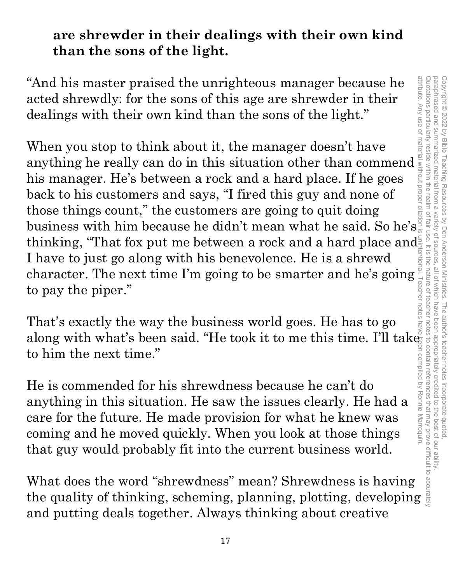#### **are shrewder in their dealings with their own kind than the sons of the light.**

"And his master praised the unrighteous manager because he acted shrewdly: for the sons of this age are shrewder in their dealings with their own kind than the sons of the light."

When you stop to think about it, the manager doesn't have anything he really can do in this situation other than commend his manager. He's between a rock and a hard place. If he goes back to his customers and says, "I fired this guy and none of those things count," the customers are going to quit doing business with him because he didn't mean what he said. So he's $\frac{1}{3}$ thinking, "That fox put me between a rock and a hard place and I have to just go along with his benevolence. He is a shrewd character. The next time I'm going to be smarter and he's going to pay the piper."

That's exactly the way the business world goes. He has to go along with what's been said. "He took it to me this time. I'll take to him the next time."

He is commended for his shrewdness because he can't do anything in this situation. He saw the issues clearly. He had a care for the future. He made provision for what he knew was coming and he moved quickly. When you look at those things that guy would probably fit into the current business world.

What does the word "shrewdness" mean? Shrewdness is having the quality of thinking, scheming, planning, plotting, developing and putting deals together. Always thinking about creative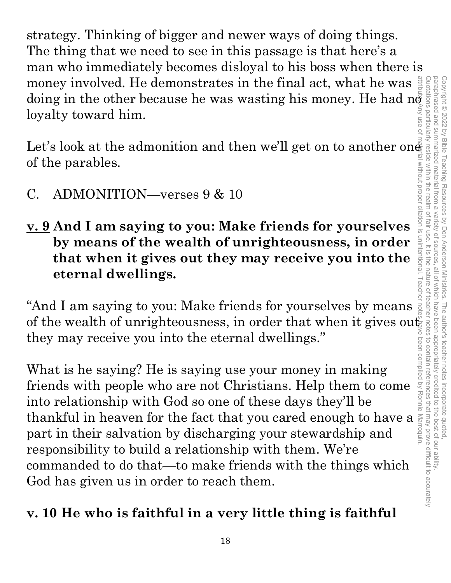strategy. Thinking of bigger and newer ways of doing things. The thing that we need to see in this passage is that here's a man who immediately becomes disloyal to his boss when there is money involved. He demonstrates in the final act, what he was  $\frac{3}{4}$ money involved. He demonstrates in the final act, what he was doing in the other because he was wasting his money. He had not had not logally toward him.<br>Let's look at the admonition and then we'll get on to another on  $\$ loyalty toward him. attribute. Any use of material without proper citation is unintentional. Teacher notes have been compiled by Ronnie Marroquin.

Let's look at the admonition and then we'll get on to another one of the parables. without proper citation is

- C. ADMONITION—verses 9 & 10
- **v. 9 And I am saying to you: Make friends for yourselves by means of the wealth of unrighteousness, in order that when it gives out they may receive you into the eternal dwellings.**

"And I am saying to you: Make friends for yourselves by means of the wealth of unrighteousness, in order that when it gives out  $\mathbb{S}^n$ they may receive you into the eternal dwellings."

What is he saying? He is saying use your money in making friends with people who are not Christians. Help them to come into relationship with God so one of these days they'll be thankful in heaven for the fact that you cared enough to have a part in their salvation by discharging your stewardship and responsibility to build a relationship with them. We're commanded to do that—to make friends with the things which God has given us in order to reach them.

# **v. 10 He who is faithful in a very little thing is faithful**

unintentional

 $\frac{1}{2}$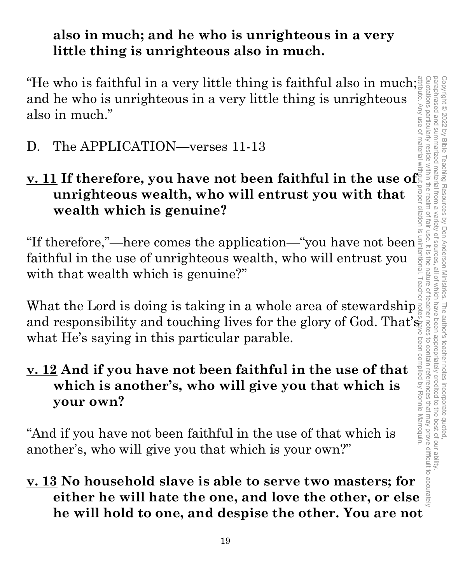#### **also in much; and he who is unrighteous in a very little thing is unrighteous also in much.**

"He who is faithful in a very little thing is faithful also in much; and he who is unrighteous in a very little thing is unrighteous also in much."

D. The APPLICATION—verses 11-13

# **v. 11 If therefore, you have not been faithful in the use of unrighteous wealth, who will entrust you with that wealth which is genuine?<br>
"If therefore,"—here comes the application—"you have not been faithful in the use unrighteous wealth, who will entrust you with that wealth which is genuine?**

"If therefore,"—here comes the application—"you have not been faithful in the use of unrighteous wealth, who will entrust you with that wealth which is genuine?"

What the Lord is doing is taking in a whole area of stewardship and responsibility and touching lives for the glory of God. That's what He's saying in this particular parable.

# **v. 12 And if you have not been faithful in the use of that which is another's, who will give you that which is your own? Example 12 and if you have not been faithful in the use of that**<br> **example.**<br> **example 2** And if you have not been faithful in the use of that<br>
which is another's, who will give you that which is<br>
your own?<br>
dif you have

"And if you have not been faithful in the use of that which is another's, who will give you that which is your own?"

# **v. 13 No household slave is able to serve two masters; for he will hold to one, and despise the other. You are not**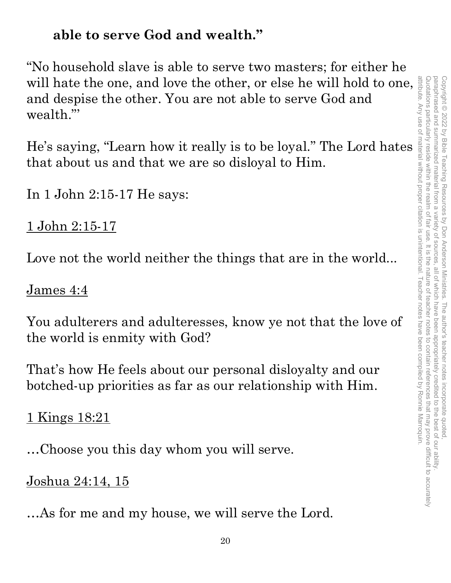# **able to serve God and wealth."**

"No household slave is able to serve two masters; for either he will hate the one, and love the other, or else he will hold to one, and despise the other. You are not able to serve God and wealth."'

He's saying, "Learn how it really is to be loyal." The Lord hates that about us and that we are so disloyal to Him.

In 1 John 2:15-17 He says:

1 John 2:15-17

Love not the world neither the things that are in the world...

#### James 4:4

You adulterers and adulteresses, know ye not that the love of the world is enmity with God?

That's how He feels about our personal disloyalty and our botched-up priorities as far as our relationship with Him.

1 Kings 18:21

…Choose you this day whom you will serve.

#### Joshua 24:14, 15

…As for me and my house, we will serve the Lord.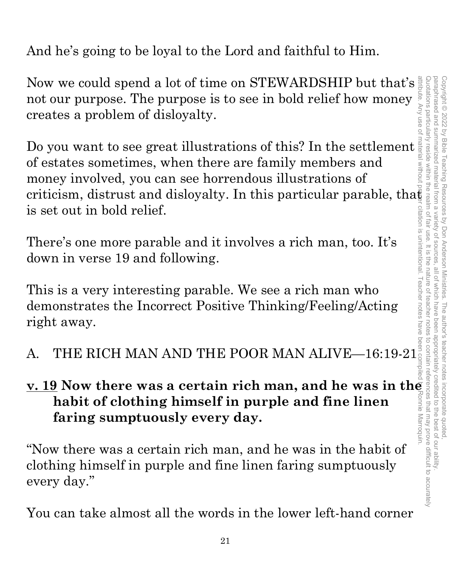And he's going to be loyal to the Lord and faithful to Him.

Now we could spend a lot of time on STEWARDSHIP but that's  $\frac{3}{2}$ not our purpose. The purpose is to see in bold relief how money creates a problem of disloyalty.

Do you want to see great illustrations of this? In the settlement of estates sometimes, when there are family members and money involved, you can see horrendous illustrations of criticism, distrust and disloyalty. In this particular parable, that is set out in bold relief.

There's one more parable and it involves a rich man, too. It's down in verse 19 and following.

This is a very interesting parable. We see a rich man who demonstrates the Incorrect Positive Thinking/Feeling/Acting right away. is set out in bold relief.<br>
There's one more parable and it involves a rich man, too. It's<br>
down in verse 19 and following.<br>
This is a very interesting parable. We see a rich man who<br>
demonstrates the Incorrect Positive T

# **v. 19 Now there was a certain rich man, and he was in the <br>
habit of clothing himself in purple and fine linen<br>
faring sumptuously every day.<br>
"Now there was a certain rich man, and he was in the habit of<br>
clothing hims habit of clothing himself in purple and fine linen faring sumptuously every day.**

"Now there was a certain rich man, and he was in the habit of clothing himself in purple and fine linen faring sumptuously every day."

You can take almost all the words in the lower left-hand corner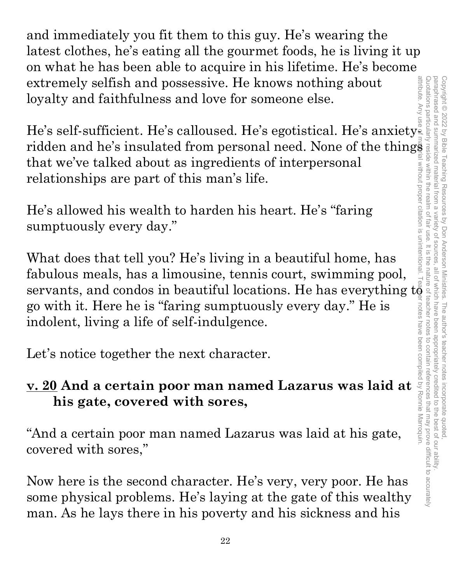and immediately you fit them to this guy. He's wearing the latest clothes, he's eating all the gourmet foods, he is living it up on what he has been able to acquire in his lifetime. He's become extremely selfish and possessive. He knows nothing about attribute. Any loyalty and faithfulness and love for someone else.

He's self-sufficient. He's calloused. He's egotistical. He's anxiety ridden and he's insulated from personal need. None of the things that we've talked about as ingredients of interpersonal relationships are part of this man's life.

He's allowed his wealth to harden his heart. He's "faring sumptuously every day."

What does that tell you? He's living in a beautiful home, has fabulous meals, has a limousine, tennis court, swimming pool, servants, and condos in beautiful locations. He has everything  $t\ddot{\theta}$ go with it. Here he is "faring sumptuously every day." He is indolent, living a life of self-indulgence.

Let's notice together the next character.

# **v. 20 And a certain poor man named Lazarus was laid at his gate, covered with sores,**

"And a certain poor man named Lazarus was laid at his gate, covered with sores,"

Now here is the second character. He's very, very poor. He has some physical problems. He's laying at the gate of this wealthy man. As he lays there in his poverty and his sickness and his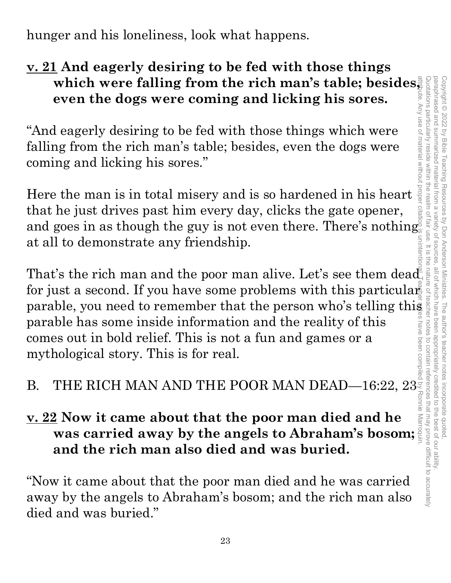hunger and his loneliness, look what happens.

# **v. 21 And eagerly desiring to be fed with those things even the dogs were coming and licking his sores.**

**which were falling from the rich man's table; besides, even the dogs were coming and licking his sores.**<br>
deagerly desiring to be fed with those things which were a seed in the rich man's table; besides, even the dogs wer "And eagerly desiring to be fed with those things which were falling from the rich man's table; besides, even the dogs were coming and licking his sores."

Here the man is in total misery and is so hardened in his heart that he just drives past him every day, clicks the gate opener, and goes in as though the guy is not even there. There's nothing at all to demonstrate any friendship.

That's the rich man and the poor man alive. Let's see them dead fract in gust arrives past in every day, cness the gate opener,<br>and goes in as though the guy is not even there. There's nothing<br>at all to demonstrate any friendship.<br>That's the rich man and the poor man alive. Let's see parable, you need to remember that the person who's telling this parable has some inside information and the reality of this comes out in bold relief. This is not a fun and games or a mythological story. This is for real. parable has some inside information and the reality of this<br>
comes out in bold relief. This is not a fun and games or a<br>
mythological story. This is for real.<br>
B. THE RICH MAN AND THE POOR MAN DEAD—16:22,  $23^{\frac{3}{2}}$ 

# **v. 22 Now it came about that the poor man died and he was carried away by the angels to Abraham's bosom; and the rich man also died and was buried.**

"Now it came about that the poor man died and he was carried away by the angels to Abraham's bosom; and the rich man also died and was buried."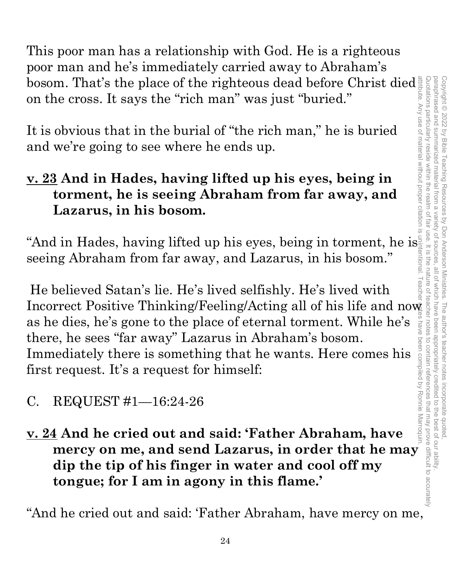This poor man has a relationship with God. He is a righteous poor man and he's immediately carried away to Abraham's bosom. That's the place of the righteous dead before Christ died on the cross. It says the "rich man" was just "buried."

It is obvious that in the burial of "the rich man," he is buried and we're going to see where he ends up.

#### **v. 23 And in Hades, having lifted up his eyes, being in torment, he is seeing Abraham from far away, and Lazarus, in his bosom.**

"And in Hades, having lifted up his eyes, being in torment, he is seeing Abraham from far away, and Lazarus, in his bosom."

 He believed Satan's lie. He's lived selfishly. He's lived with Incorrect Positive Thinking/Feeling/Acting all of his life and now as he dies, he's gone to the place of eternal torment. While he's there, he sees "far away" Lazarus in Abraham's bosom. Immediately there is something that he wants. Here comes his first request. It's a request for himself:

- C. REQUEST #1—16:24-26
- **v. 24 And he cried out and said: 'Father Abraham, have mercy on me, and send Lazarus, in order that he may dip the tip of his finger in water and cool off my tongue; for I am in agony in this flame.'**

"And he cried out and said: 'Father Abraham, have mercy on me,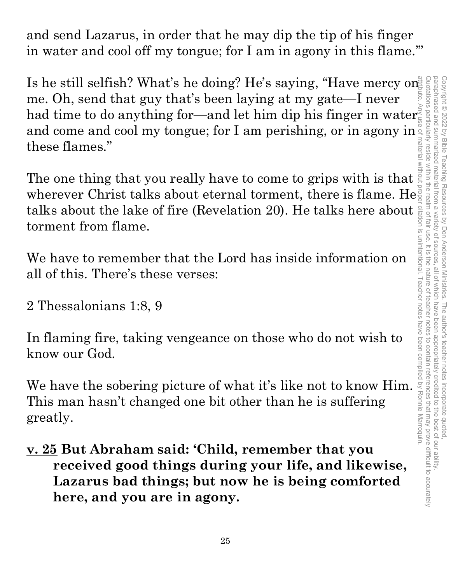and send Lazarus, in order that he may dip the tip of his finger in water and cool off my tongue; for I am in agony in this flame.'"

Is he still selfish? What's he doing? He's saying, "Have mercy on me. Oh, send that guy that's been laying at my gate—I never had time to do anything for—and let him dip his finger in water and come and cool my tongue; for I am perishing, or in agony in these flames."

The one thing that you really have to come to grips with is that wherever Christ talks about eternal torment, there is flame. He torment from flame.

We have to remember that the Lord has inside information on all of this. There's these verses:

# 2 Thessalonians 1:8, 9

In flaming fire, taking vengeance on those who do not wish to know our God.

talks about the lake of fire (Revelation 20). He talks here about is<br>torment from flame.<br>We have to remember that the Lord has inside information on<br>all of this. There's these verses:<br>2 Thessalonians 1:8, 9<br>In flaming fir We have the sobering picture of what it's like not to know Him. This man hasn't changed one bit other than he is suffering greatly.

**v. 25 But Abraham said: 'Child, remember that you received good things during your life, and likewise, Lazarus bad things; but now he is being comforted here, and you are in agony.**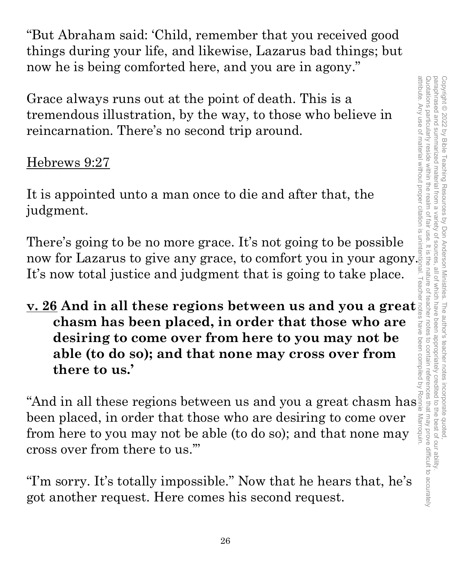Quotations particularly reside within the realm of fair use. It is the nature of teacher notes to contain references that may prove difficult to accurately paraphrased and summarized attribute. Any use of material without proper citation is unintentional. Teacher notes have been compiled by Ronnie Marroquin.Quotations particularly reside within the realm of fair use. It is the nature of teacher notes to contain references that may prove difficult to accurately paraphrased and summarized material from a variety of sources, all of which have been appropriately credited to the best of our ability. Copyright © 2022 by Bible Teaching Resources Copyright © 2022 by Bible Teaching Resources by Don Anderson Ministries. The author's teacher notes incorporate quoted, I material from a variety of bon Anderson Ministries. The author's teacher notes incorporate quoted,<br>ariety of sources, all of which have been appropriately credited to the best of our ability.

"But Abraham said: 'Child, remember that you received good things during your life, and likewise, Lazarus bad things; but now he is being comforted here, and you are in agony."

Grace always runs out at the point of death. This is a tremendous illustration, by the way, to those who believe in reincarnation. There's no second trip around.

#### Hebrews 9:27

It is appointed unto a man once to die and after that, the judgment.

There's going to be no more grace. It's not going to be possible now for Lazarus to give any grace, to comfort you in your agony. It's now total justice and judgment that is going to take place.

**<u>v. 26</u> And in all these regions between us and you a great**  $\frac{1}{2}$  **chasm has been placed, in order that those who are desiring to come over from here to you may not be able (to do so); and that none may cross over fro chasm has been placed, in order that those who are desiring to come over from here to you may not be able (to do so); and that none may cross over from there to us.'** 

"And in all these regions between us and you a great chasm has been placed, in order that those who are desiring to come over Marroquin from here to you may not be able (to do so); and that none may cross over from there to us.'"

"I'm sorry. It's totally impossible." Now that he hears that, he's got another request. Here comes his second request.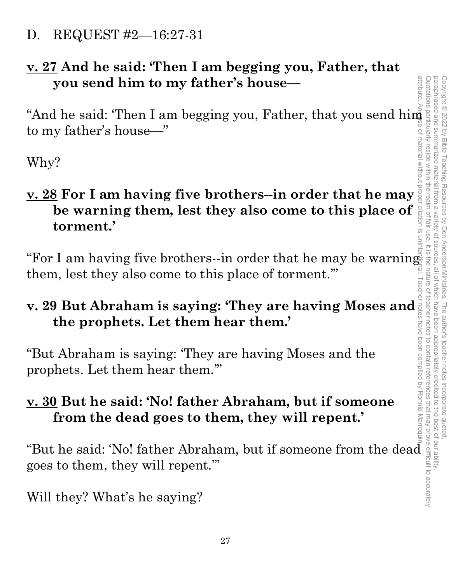D. REQUEST #2—16:27-31

#### **v. 27 And he said: 'Then I am begging you, Father, that you send him to my father's house—**

to my father's house—"

Why?

# you send him to my father's house—<br>
"And he said: "Then I am begging you, Father, that you send him<br>to my father's house—"<br>
Why?<br>
<u>w. 28</u> For I am having five brothers--in order that he may send in the warning them, lest **v. 28 For I am having five brothers--in order that he may be warning them, lest they also come to this place of torment.'**

"For I am having five brothers--in order that he may be warning them, lest they also come to this place of torment.'"

# **v. 29 But Abraham is saying: 'They are having Moses and the prophets. Let them hear them.'**

"But Abraham is saying: 'They are having Moses and the prophets. Let them hear them.'"

# **v. 30 But he said: 'No! father Abraham, but if someone from the dead goes to them, they will repent.'**

"But he said: 'No! father Abraham, but if someone from the dead goes to them, they will repent.'"

Will they? What's he saying?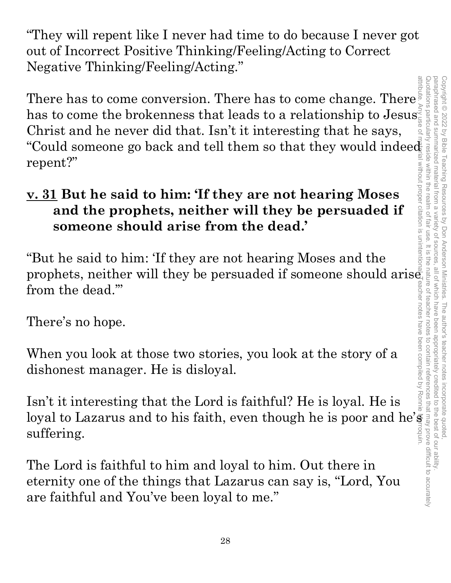"They will repent like I never had time to do because I never got out of Incorrect Positive Thinking/Feeling/Acting to Correct Negative Thinking/Feeling/Acting."

There has to come conversion. There has to come change. There  $\bar{\S}$ has to come the brokenness that leads to a relationship to Jesus $\vec{\bar{\varepsilon}}$ Christ and he never did that. Isn't it interesting that he says, "Could someone go back and tell them so that they would indeed "Could someone go back and tell them so that they would indeed repent?"

# **v. 31 But he said to him: 'If they are not hearing Moses and the prophets, neither will they be persuaded if someone should arise from the dead.'**

"But he said to him: 'If they are not hearing Moses and the prophets, neither will they be persuaded if someone should aris $\mathring{\mathsf{e}}$ from the dead.'"

There's no hope.

When you look at those two stories, you look at the story of a dishonest manager. He is disloyal.

Isn't it interesting that the Lord is faithful? He is loyal. He is loyal to Lazarus and to his faith, even though he is poor and he's suffering.

The Lord is faithful to him and loyal to him. Out there in eternity one of the things that Lazarus can say is, "Lord, You are faithful and You've been loyal to me."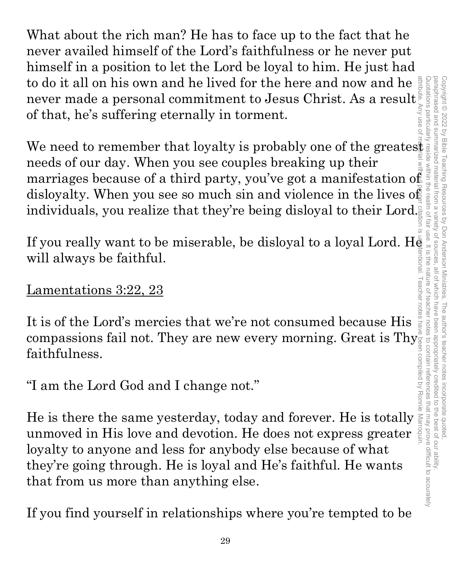What about the rich man? He has to face up to the fact that he never availed himself of the Lord's faithfulness or he never put himself in a position to let the Lord be loyal to him. He just had to do it all on his own and he lived for the here and now and he never made a personal commitment to Jesus Christ. As a result of that, he's suffering eternally in torment.

We need to remember that loyalty is probably one of the greates. needs of our day. When you see couples breaking up their marriages because of a third party, you've got a manifestation of disloyalty. When you see so much sin and violence in the lives of individuals, you realize that they're being disloyal to their Lord.

disloyalty. When you see so much sin and violence in the lives of<br>individuals, you realize that they're being disloyal to their Lord.<br>If you really want to be miserable, be disloyal to a loyal Lord. He<br>will always be fait will always be faithful.

#### Lamentations 3:22, 23

It is of the Lord's mercies that we're not consumed because His compassions fail not. They are new every morning. Great is Thy $_{\circ}^{\circ}$ faithfulness.

"I am the Lord God and I change not."

He is there the same yesterday, today and forever. He is totally unmoved in His love and devotion. He does not express greater loyalty to anyone and less for anybody else because of what they're going through. He is loyal and He's faithful. He wants that from us more than anything else.

If you find yourself in relationships where you're tempted to be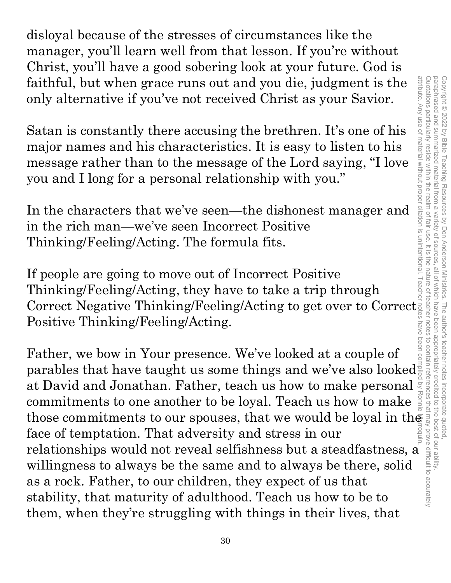disloyal because of the stresses of circumstances like the manager, you'll learn well from that lesson. If you're without Christ, you'll have a good sobering look at your future. God is faithful, but when grace runs out and you die, judgment is the only alternative if you've not received Christ as your Savior.

Satan is constantly there accusing the brethren. It's one of his major names and his characteristics. It is easy to listen to his message rather than to the message of the Lord saying, "I love you and I long for a personal relationship with you."

In the characters that we've seen—the dishonest manager and in the rich man—we've seen Incorrect Positive Thinking/Feeling/Acting. The formula fits.

If people are going to move out of Incorrect Positive Thinking/Feeling/Acting, they have to take a trip through Correct Negative Thinking/Feeling/Acting to get over to Correct Positive Thinking/Feeling/Acting.

Father, we bow in Your presence. We've looked at a couple of parables that have taught us some things and we've also looked $\frac{1}{3}$ at David and Jonathan. Father, teach us how to make personal  $\overline{z}$ commitments to one another to be loyal. Teach us how to make those commitments to our spouses, that we would be loyal in the face of temptation. That adversity and stress in our relationships would not reveal selfishness but a steadfastness, a willingness to always be the same and to always be there, solid as a rock. Father, to our children, they expect of us that stability, that maturity of adulthood. Teach us how to be to them, when they're struggling with things in their lives, that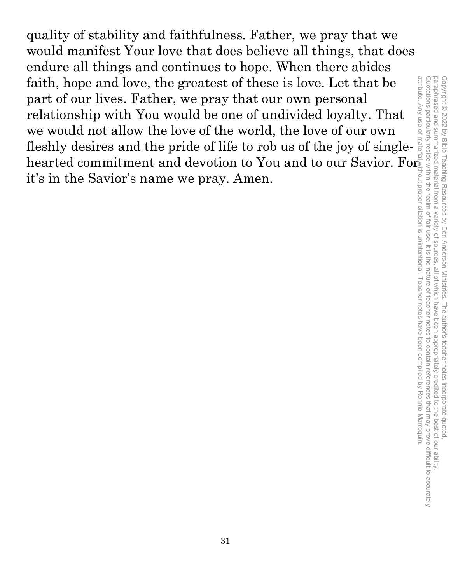quality of stability and faithfulness. Father, we pray that we would manifest Your love that does believe all things, that does endure all things and continues to hope. When there abides faith, hope and love, the greatest of these is love. Let that be part of our lives. Father, we pray that our own personal relationship with You would be one of undivided loyalty. That we would not allow the love of the world, the love of our own fleshly desires and the pride of life to rob us of the joy of singlehearted commitment and devotion to You and to our Savior. For it's in the Savior's name we pray. Amen.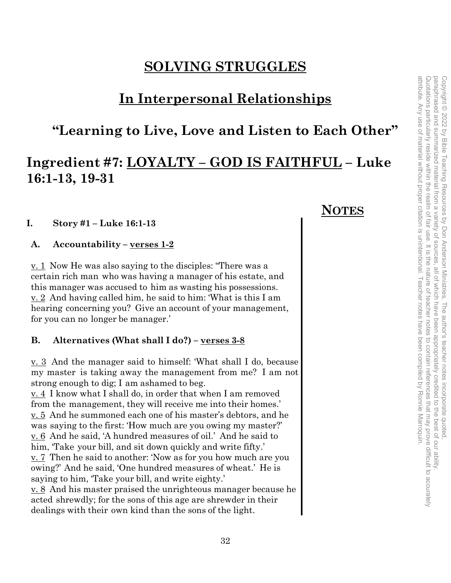#### **SOLVING STRUGGLES**

#### **In Interpersonal Relationships**

#### **"Learning to Live, Love and Listen to Each Other"**

#### **Ingredient #7: LOYALTY – GOD IS FAITHFUL – Luke 16:1-13, 19-31**

#### **I. Story #1 – Luke 16:1-13**

**A. Accountability – verses 1-2** 

v. 1 Now He was also saying to the disciples: "There was a certain rich man who was having a manager of his estate, and this manager was accused to him as wasting his possessions. v. 2 And having called him, he said to him: 'What is this I am hearing concerning you? Give an account of your management, for you can no longer be manager.'

#### **B. Alternatives (What shall I do?) – verses 3-8**

v. 3 And the manager said to himself: 'What shall I do, because my master is taking away the management from me? I am not strong enough to dig; I am ashamed to beg.

v. 4 I know what I shall do, in order that when I am removed from the management, they will receive me into their homes.' v. 5 And he summoned each one of his master's debtors, and he was saying to the first: 'How much are you owing my master?' v. 6 And he said, 'A hundred measures of oil.' And he said to him, Take your bill, and sit down quickly and write fifty.' v. 7 Then he said to another: 'Now as for you how much are you owing?' And he said, 'One hundred measures of wheat.' He is saying to him, 'Take your bill, and write eighty.'

v. 8 And his master praised the unrighteous manager because he acted shrewdly; for the sons of this age are shrewder in their dealings with their own kind than the sons of the light.

#### **NOTES**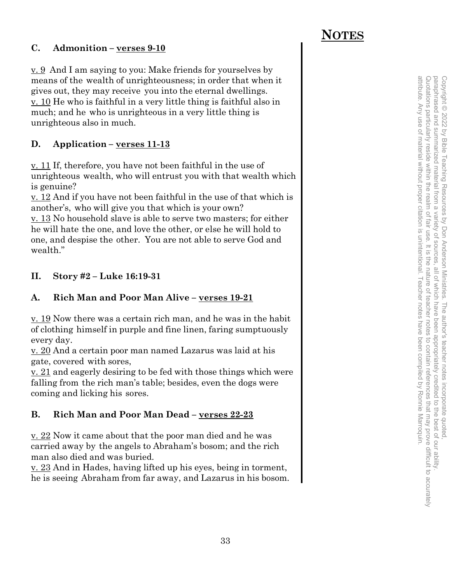#### **C. Admonition – verses 9-10**

v. 9 And I am saying to you: Make friends for yourselves by means of the wealth of unrighteousness; in order that when it gives out, they may receive you into the eternal dwellings. v. 10 He who is faithful in a very little thing is faithful also in much; and he who is unrighteous in a very little thing is unrighteous also in much.

#### **D. Application – verses 11-13**

v. 11 If, therefore, you have not been faithful in the use of unrighteous wealth, who will entrust you with that wealth which is genuine?

v. 12 And if you have not been faithful in the use of that which is another's, who will give you that which is your own?

 $\underline{v}$ . 13 No household slave is able to serve two masters; for either he will hate the one, and love the other, or else he will hold to one, and despise the other. You are not able to serve God and wealth."

#### **II. Story #2 – Luke 16:19-31**

#### **A. Rich Man and Poor Man Alive – verses 19-21**

v. 19 Now there was a certain rich man, and he was in the habit of clothing himself in purple and fine linen, faring sumptuously every day.

v. 20 And a certain poor man named Lazarus was laid at his gate, covered with sores,

v. 21 and eagerly desiring to be fed with those things which were falling from the rich man's table; besides, even the dogs were coming and licking his sores.

#### **B. Rich Man and Poor Man Dead – verses 22-23**

v. 22 Now it came about that the poor man died and he was carried away by the angels to Abraham's bosom; and the rich man also died and was buried.

v. 23 And in Hades, having lifted up his eyes, being in torment, he is seeing Abraham from far away, and Lazarus in his bosom.

#### **NOTES**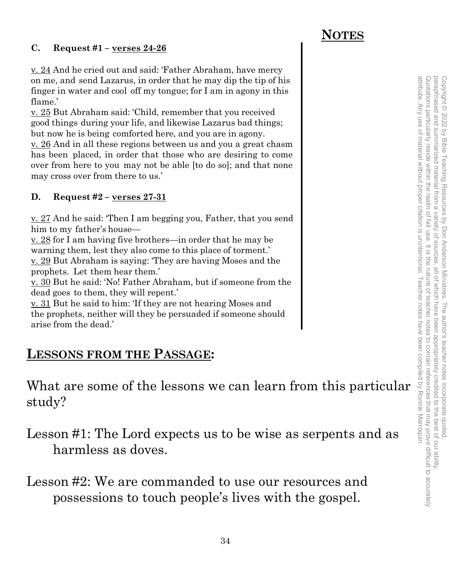#### **C. Request #1 – verses 24-26**

v. 24 And he cried out and said: 'Father Abraham, have mercy on me, and send Lazarus, in order that he may dip the tip of his finger in water and cool off my tongue; for I am in agony in this flame.'

v. 25 But Abraham said: 'Child, remember that you received good things during your life, and likewise Lazarus bad things; but now he is being comforted here, and you are in agony.

v. 26 And in all these regions between us and you a great chasm has been placed, in order that those who are desiring to come over from here to you may not be able [to do so]; and that none may cross over from there to us.'

#### **D. Request #2 – verses 27-31**

v. 27 And he said: 'Then I am begging you, Father, that you send him to my father's house—

v. 28 for I am having five brothers—in order that he may be warning them, lest they also come to this place of torment.' v. 29 But Abraham is saying: 'They are having Moses and the prophets. Let them hear them.'

v. 30 But he said: 'No! Father Abraham, but if someone from the dead goes to them, they will repent.'

v. 31 But he said to him: 'If they are not hearing Moses and the prophets, neither will they be persuaded if someone should arise from the dead.'

#### **LESSONS FROM THE PASSAGE:**

What are some of the lessons we can learn from this particular study?

Lesson #1: The Lord expects us to be wise as serpents and as harmless as doves.

Lesson #2: We are commanded to use our resources and possessions to touch people's lives with the gospel.